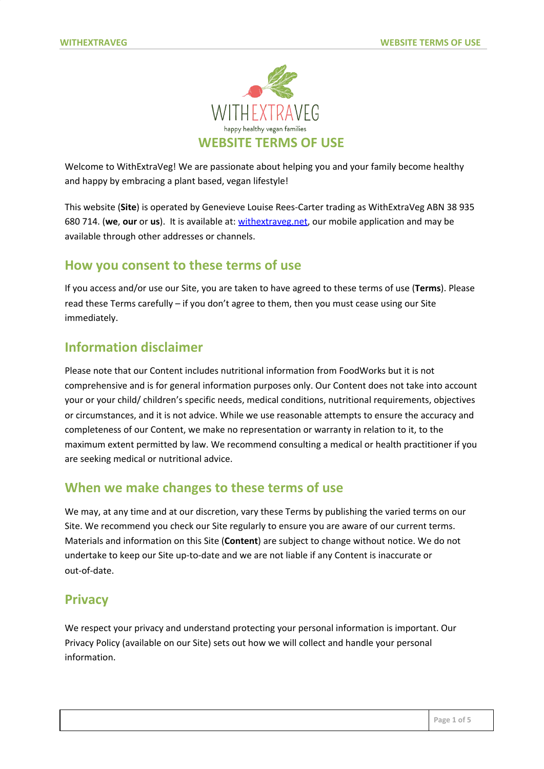

Welcome to WithExtraVeg! We are passionate about helping you and your family become healthy and happy by embracing a plant based, vegan lifestyle!

This website (**Site**) is operated by Genevieve Louise Rees-Carter trading as WithExtraVeg ABN 38 935 680 714. (**we**, **our** or **us**). It is available at: [withextraveg.net](https://withextraveg.net/), our mobile application and may be available through other addresses or channels.

#### **How you consent to these terms of use**

If you access and/or use our Site, you are taken to have agreed to these terms of use (**Terms**). Please read these Terms carefully – if you don't agree to them, then you must cease using our Site immediately.

## **Information disclaimer**

Please note that our Content includes nutritional information from FoodWorks but it is not comprehensive and is for general information purposes only. Our Content does not take into account your or your child/ children's specific needs, medical conditions, nutritional requirements, objectives or circumstances, and it is not advice. While we use reasonable attempts to ensure the accuracy and completeness of our Content, we make no representation or warranty in relation to it, to the maximum extent permitted by law. We recommend consulting a medical or health practitioner if you are seeking medical or nutritional advice.

# **When we make changes to these terms of use**

We may, at any time and at our discretion, vary these Terms by publishing the varied terms on our Site. We recommend you check our Site regularly to ensure you are aware of our current terms. Materials and information on this Site (**Content**) are subject to change without notice. We do not undertake to keep our Site up-to-date and we are not liable if any Content is inaccurate or out-of-date.

#### **Privacy**

We respect your privacy and understand protecting your personal information is important. Our Privacy Policy (available on our Site) sets out how we will collect and handle your personal information.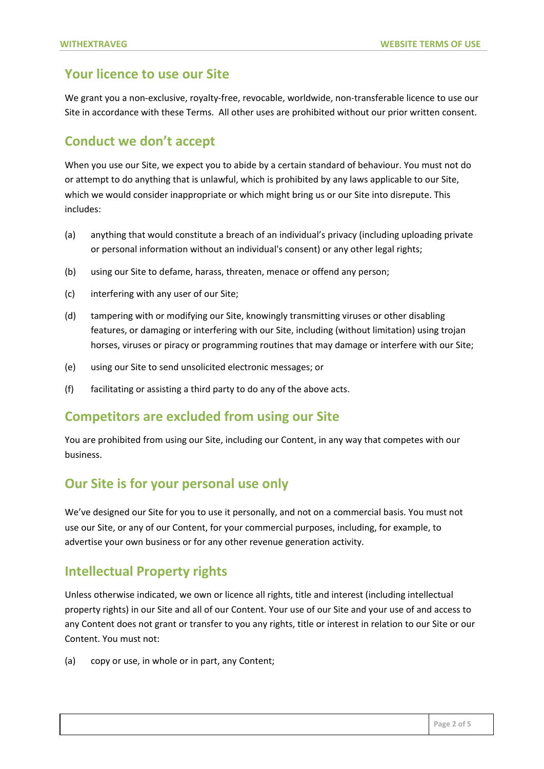## **Your licence to use our Site**

We grant you a non-exclusive, royalty-free, revocable, worldwide, non-transferable licence to use our Site in accordance with these Terms. All other uses are prohibited without our prior written consent.

# **Conduct we don't accept**

When you use our Site, we expect you to abide by a certain standard of behaviour. You must not do or attempt to do anything that is unlawful, which is prohibited by any laws applicable to our Site, which we would consider inappropriate or which might bring us or our Site into disrepute. This includes:

- (a) anything that would constitute a breach of an individual's privacy (including uploading private or personal information without an individual's consent) or any other legal rights;
- (b) using our Site to defame, harass, threaten, menace or offend any person;
- (c) interfering with any user of our Site;
- (d) tampering with or modifying our Site, knowingly transmitting viruses or other disabling features, or damaging or interfering with our Site, including (without limitation) using trojan horses, viruses or piracy or programming routines that may damage or interfere with our Site;
- (e) using our Site to send unsolicited electronic messages; or
- (f) facilitating or assisting a third party to do any of the above acts.

# **Competitors are excluded from using our Site**

You are prohibited from using our Site, including our Content, in any way that competes with our business.

# **Our Site is for your personal use only**

We've designed our Site for you to use it personally, and not on a commercial basis. You must not use our Site, or any of our Content, for your commercial purposes, including, for example, to advertise your own business or for any other revenue generation activity.

# **Intellectual Property rights**

Unless otherwise indicated, we own or licence all rights, title and interest (including intellectual property rights) in our Site and all of our Content. Your use of our Site and your use of and access to any Content does not grant or transfer to you any rights, title or interest in relation to our Site or our Content. You must not:

(a) copy or use, in whole or in part, any Content;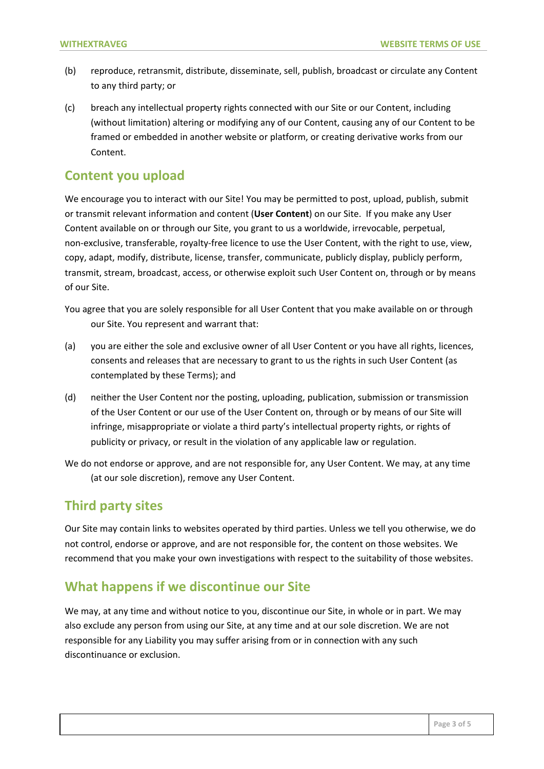- (b) reproduce, retransmit, distribute, disseminate, sell, publish, broadcast or circulate any Content to any third party; or
- (c) breach any intellectual property rights connected with our Site or our Content, including (without limitation) altering or modifying any of our Content, causing any of our Content to be framed or embedded in another website or platform, or creating derivative works from our Content.

#### **Content you upload**

We encourage you to interact with our Site! You may be permitted to post, upload, publish, submit or transmit relevant information and content (**User Content**) on our Site. If you make any User Content available on or through our Site, you grant to us a worldwide, irrevocable, perpetual, non-exclusive, transferable, royalty-free licence to use the User Content, with the right to use, view, copy, adapt, modify, distribute, license, transfer, communicate, publicly display, publicly perform, transmit, stream, broadcast, access, or otherwise exploit such User Content on, through or by means of our Site.

You agree that you are solely responsible for all User Content that you make available on or through our Site. You represent and warrant that:

- (a) you are either the sole and exclusive owner of all User Content or you have all rights, licences, consents and releases that are necessary to grant to us the rights in such User Content (as contemplated by these Terms); and
- (d) neither the User Content nor the posting, uploading, publication, submission or transmission of the User Content or our use of the User Content on, through or by means of our Site will infringe, misappropriate or violate a third party's intellectual property rights, or rights of publicity or privacy, or result in the violation of any applicable law or regulation.
- We do not endorse or approve, and are not responsible for, any User Content. We may, at any time (at our sole discretion), remove any User Content.

# **Third party sites**

Our Site may contain links to websites operated by third parties. Unless we tell you otherwise, we do not control, endorse or approve, and are not responsible for, the content on those websites. We recommend that you make your own investigations with respect to the suitability of those websites.

# **What happens if we discontinue our Site**

We may, at any time and without notice to you, discontinue our Site, in whole or in part. We may also exclude any person from using our Site, at any time and at our sole discretion. We are not responsible for any Liability you may suffer arising from or in connection with any such discontinuance or exclusion.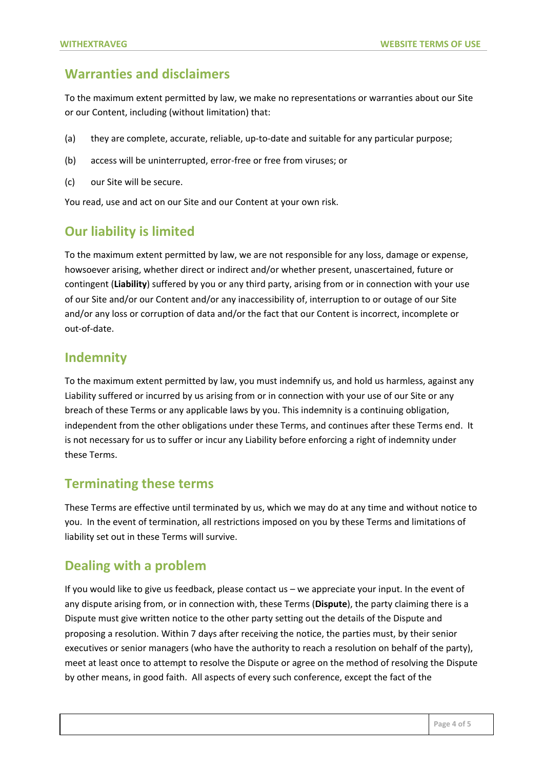#### **Warranties and disclaimers**

To the maximum extent permitted by law, we make no representations or warranties about our Site or our Content, including (without limitation) that:

- (a) they are complete, accurate, reliable, up-to-date and suitable for any particular purpose;
- (b) access will be uninterrupted, error-free or free from viruses; or
- (c) our Site will be secure.

You read, use and act on our Site and our Content at your own risk.

#### **Our liability is limited**

To the maximum extent permitted by law, we are not responsible for any loss, damage or expense, howsoever arising, whether direct or indirect and/or whether present, unascertained, future or contingent (**Liability**) suffered by you or any third party, arising from or in connection with your use of our Site and/or our Content and/or any inaccessibility of, interruption to or outage of our Site and/or any loss or corruption of data and/or the fact that our Content is incorrect, incomplete or out-of-date.

#### **Indemnity**

To the maximum extent permitted by law, you must indemnify us, and hold us harmless, against any Liability suffered or incurred by us arising from or in connection with your use of our Site or any breach of these Terms or any applicable laws by you. This indemnity is a continuing obligation, independent from the other obligations under these Terms, and continues after these Terms end. It is not necessary for us to suffer or incur any Liability before enforcing a right of indemnity under these Terms.

#### **Terminating these terms**

These Terms are effective until terminated by us, which we may do at any time and without notice to you. In the event of termination, all restrictions imposed on you by these Terms and limitations of liability set out in these Terms will survive.

# **Dealing with a problem**

If you would like to give us feedback, please contact us – we appreciate your input. In the event of any dispute arising from, or in connection with, these Terms (**Dispute**), the party claiming there is a Dispute must give written notice to the other party setting out the details of the Dispute and proposing a resolution. Within 7 days after receiving the notice, the parties must, by their senior executives or senior managers (who have the authority to reach a resolution on behalf of the party), meet at least once to attempt to resolve the Dispute or agree on the method of resolving the Dispute by other means, in good faith. All aspects of every such conference, except the fact of the